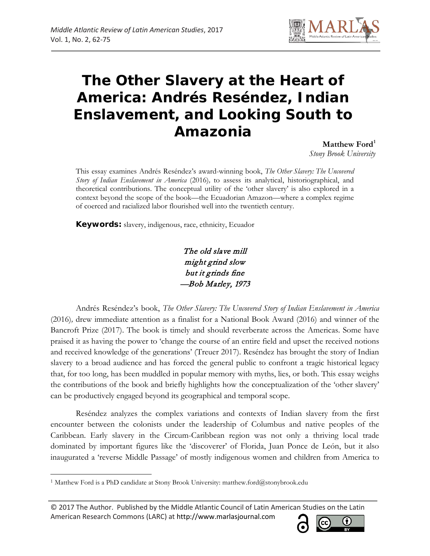

# **The Other Slavery at the Heart of America: Andrés Reséndez, Indian Enslavement, and Looking South to Amazonia**

**Matthew Ford[1](#page-0-0)**  *Stony Brook University*

This essay examines Andrés Reséndez's award-winning book, *The Other Slavery: The Uncovered Story of Indian Enslavement in America* (2016)*,* to assess its analytical, historiographical, and theoretical contributions. The conceptual utility of the 'other slavery' is also explored in a context beyond the scope of the book—the Ecuadorian Amazon—where a complex regime of coerced and racialized labor flourished well into the twentieth century.

**Keywords:** slavery, indigenous, race, ethnicity, Ecuador

The old slave mill might grind slow but it grinds fine —Bob Marley, 1973

Andrés Reséndez's book, *The Other Slavery: The Uncovered Story of Indian Enslavement in America*  (2016)*,* drew immediate attention as a finalist for a National Book Award (2016) and winner of the Bancroft Prize (2017). The book is timely and should reverberate across the Americas. Some have praised it as having the power to 'change the course of an entire field and upset the received notions and received knowledge of the generations' (Treuer 2017). Reséndez has brought the story of Indian slavery to a broad audience and has forced the general public to confront a tragic historical legacy that, for too long, has been muddled in popular memory with myths, lies, or both. This essay weighs the contributions of the book and briefly highlights how the conceptualization of the 'other slavery' can be productively engaged beyond its geographical and temporal scope.

Reséndez analyzes the complex variations and contexts of Indian slavery from the first encounter between the colonists under the leadership of Columbus and native peoples of the Caribbean. Early slavery in the Circum-Caribbean region was not only a thriving local trade dominated by important figures like the 'discoverer' of Florida, Juan Ponce de León, but it also inaugurated a 'reverse Middle Passage' of mostly indigenous women and children from America to

 $\overline{\phantom{a}}$ 

<sup>© 2017</sup> The Author. Published by the Middle Atlantic Council of Latin American Studies on the Latin American Research Commons (LARC) at http://www.marlasjournal.com



<span id="page-0-0"></span><sup>1</sup> Matthew Ford is a PhD candidate at Stony Brook University: matthew.ford@stonybrook.edu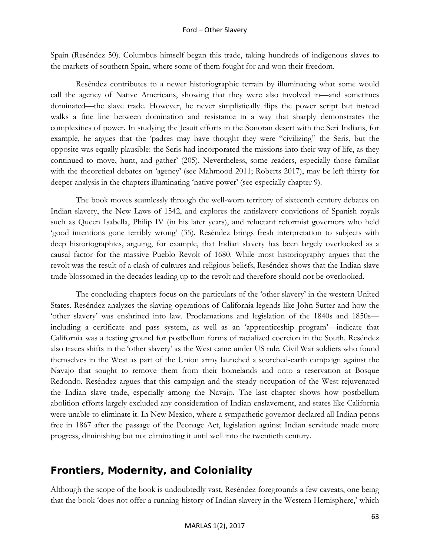Spain (Reséndez 50). Columbus himself began this trade, taking hundreds of indigenous slaves to the markets of southern Spain, where some of them fought for and won their freedom.

Reséndez contributes to a newer historiographic terrain by illuminating what some would call the agency of Native Americans, showing that they were also involved in—and sometimes dominated—the slave trade. However, he never simplistically flips the power script but instead walks a fine line between domination and resistance in a way that sharply demonstrates the complexities of power. In studying the Jesuit efforts in the Sonoran desert with the Seri Indians, for example, he argues that the 'padres may have thought they were "civilizing" the Seris, but the opposite was equally plausible: the Seris had incorporated the missions into their way of life, as they continued to move, hunt, and gather' (205). Nevertheless, some readers, especially those familiar with the theoretical debates on 'agency' (see Mahmood 2011; Roberts 2017), may be left thirsty for deeper analysis in the chapters illuminating 'native power' (see especially chapter 9).

The book moves seamlessly through the well-worn territory of sixteenth century debates on Indian slavery, the New Laws of 1542, and explores the antislavery convictions of Spanish royals such as Queen Isabella, Philip IV (in his later years), and reluctant reformist governors who held 'good intentions gone terribly wrong' (35). Reséndez brings fresh interpretation to subjects with deep historiographies, arguing, for example, that Indian slavery has been largely overlooked as a causal factor for the massive Pueblo Revolt of 1680. While most historiography argues that the revolt was the result of a clash of cultures and religious beliefs, Reséndez shows that the Indian slave trade blossomed in the decades leading up to the revolt and therefore should not be overlooked.

The concluding chapters focus on the particulars of the 'other slavery' in the western United States. Reséndez analyzes the slaving operations of California legends like John Sutter and how the 'other slavery' was enshrined into law. Proclamations and legislation of the 1840s and 1850s including a certificate and pass system, as well as an 'apprenticeship program'—indicate that California was a testing ground for postbellum forms of racialized coercion in the South. Reséndez also traces shifts in the 'other slavery' as the West came under US rule. Civil War soldiers who found themselves in the West as part of the Union army launched a scorched-earth campaign against the Navajo that sought to remove them from their homelands and onto a reservation at Bosque Redondo. Reséndez argues that this campaign and the steady occupation of the West rejuvenated the Indian slave trade, especially among the Navajo. The last chapter shows how postbellum abolition efforts largely excluded any consideration of Indian enslavement, and states like California were unable to eliminate it. In New Mexico, where a sympathetic governor declared all Indian peons free in 1867 after the passage of the Peonage Act, legislation against Indian servitude made more progress, diminishing but not eliminating it until well into the twentieth century.

# **Frontiers, Modernity, and Coloniality**

Although the scope of the book is undoubtedly vast, Reséndez foregrounds a few caveats, one being that the book 'does not offer a running history of Indian slavery in the Western Hemisphere,' which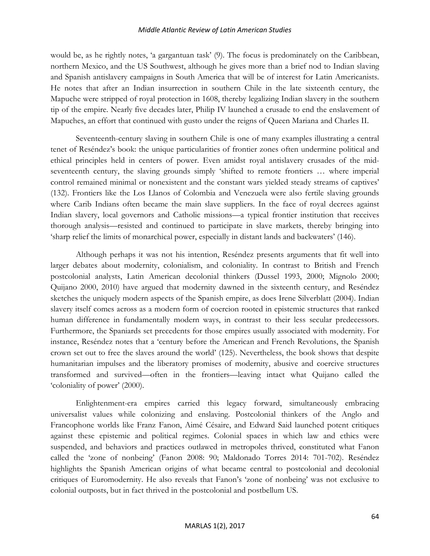would be, as he rightly notes, 'a gargantuan task' (9). The focus is predominately on the Caribbean, northern Mexico, and the US Southwest, although he gives more than a brief nod to Indian slaving and Spanish antislavery campaigns in South America that will be of interest for Latin Americanists. He notes that after an Indian insurrection in southern Chile in the late sixteenth century, the Mapuche were stripped of royal protection in 1608, thereby legalizing Indian slavery in the southern tip of the empire. Nearly five decades later, Philip IV launched a crusade to end the enslavement of Mapuches, an effort that continued with gusto under the reigns of Queen Mariana and Charles II.

Seventeenth-century slaving in southern Chile is one of many examples illustrating a central tenet of Reséndez's book: the unique particularities of frontier zones often undermine political and ethical principles held in centers of power. Even amidst royal antislavery crusades of the midseventeenth century, the slaving grounds simply 'shifted to remote frontiers … where imperial control remained minimal or nonexistent and the constant wars yielded steady streams of captives' (132). Frontiers like the Los Llanos of Colombia and Venezuela were also fertile slaving grounds where Carib Indians often became the main slave suppliers. In the face of royal decrees against Indian slavery, local governors and Catholic missions—a typical frontier institution that receives thorough analysis—resisted and continued to participate in slave markets, thereby bringing into 'sharp relief the limits of monarchical power, especially in distant lands and backwaters' (146).

Although perhaps it was not his intention, Reséndez presents arguments that fit well into larger debates about modernity, colonialism, and coloniality. In contrast to British and French postcolonial analysts, Latin American decolonial thinkers (Dussel 1993, 2000; Mignolo 2000; Quijano 2000, 2010) have argued that modernity dawned in the sixteenth century, and Reséndez sketches the uniquely modern aspects of the Spanish empire, as does Irene Silverblatt (2004). Indian slavery itself comes across as a modern form of coercion rooted in epistemic structures that ranked human difference in fundamentally modern ways, in contrast to their less secular predecessors. Furthermore, the Spaniards set precedents for those empires usually associated with modernity. For instance, Reséndez notes that a 'century before the American and French Revolutions, the Spanish crown set out to free the slaves around the world' (125). Nevertheless, the book shows that despite humanitarian impulses and the liberatory promises of modernity, abusive and coercive structures transformed and survived—often in the frontiers—leaving intact what Quijano called the 'coloniality of power' (2000).

Enlightenment-era empires carried this legacy forward, simultaneously embracing universalist values while colonizing and enslaving. Postcolonial thinkers of the Anglo and Francophone worlds like Franz Fanon, Aimé Césaire, and Edward Said launched potent critiques against these epistemic and political regimes. Colonial spaces in which law and ethics were suspended, and behaviors and practices outlawed in metropoles thrived, constituted what Fanon called the 'zone of nonbeing' (Fanon 2008: 90; Maldonado Torres 2014: 701-702). Reséndez highlights the Spanish American origins of what became central to postcolonial and decolonial critiques of Euromodernity. He also reveals that Fanon's 'zone of nonbeing' was not exclusive to colonial outposts, but in fact thrived in the postcolonial and postbellum US.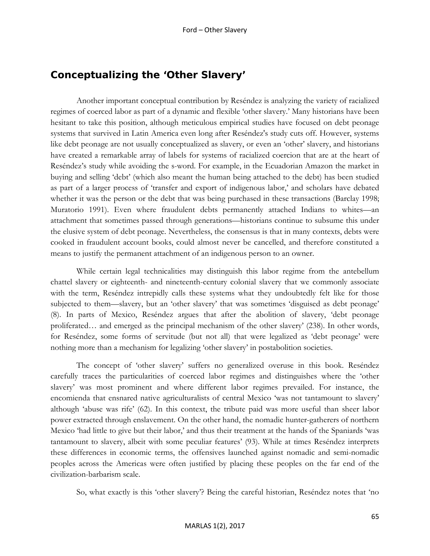### **Conceptualizing the 'Other Slavery'**

Another important conceptual contribution by Reséndez is analyzing the variety of racialized regimes of coerced labor as part of a dynamic and flexible 'other slavery.' Many historians have been hesitant to take this position, although meticulous empirical studies have focused on debt peonage systems that survived in Latin America even long after Reséndez's study cuts off. However, systems like debt peonage are not usually conceptualized as slavery, or even an 'other' slavery, and historians have created a remarkable array of labels for systems of racialized coercion that are at the heart of Reséndez's study while avoiding the s-word. For example, in the Ecuadorian Amazon the market in buying and selling 'debt' (which also meant the human being attached to the debt) has been studied as part of a larger process of 'transfer and export of indigenous labor,' and scholars have debated whether it was the person or the debt that was being purchased in these transactions (Barclay 1998; Muratorio 1991). Even where fraudulent debts permanently attached Indians to whites—an attachment that sometimes passed through generations—historians continue to subsume this under the elusive system of debt peonage. Nevertheless, the consensus is that in many contexts, debts were cooked in fraudulent account books, could almost never be cancelled, and therefore constituted a means to justify the permanent attachment of an indigenous person to an owner.

While certain legal technicalities may distinguish this labor regime from the antebellum chattel slavery or eighteenth- and nineteenth-century colonial slavery that we commonly associate with the term, Reséndez intrepidly calls these systems what they undoubtedly felt like for those subjected to them—slavery, but an 'other slavery' that was sometimes 'disguised as debt peonage' (8). In parts of Mexico, Reséndez argues that after the abolition of slavery, 'debt peonage proliferated… and emerged as the principal mechanism of the other slavery' (238). In other words, for Reséndez, some forms of servitude (but not all) that were legalized as 'debt peonage' were nothing more than a mechanism for legalizing 'other slavery' in postabolition societies.

The concept of 'other slavery' suffers no generalized overuse in this book. Reséndez carefully traces the particularities of coerced labor regimes and distinguishes where the 'other slavery' was most prominent and where different labor regimes prevailed. For instance, the encomienda that ensnared native agriculturalists of central Mexico 'was not tantamount to slavery' although 'abuse was rife' (62). In this context, the tribute paid was more useful than sheer labor power extracted through enslavement. On the other hand, the nomadic hunter-gatherers of northern Mexico 'had little to give but their labor,' and thus their treatment at the hands of the Spaniards 'was tantamount to slavery, albeit with some peculiar features' (93). While at times Reséndez interprets these differences in economic terms, the offensives launched against nomadic and semi-nomadic peoples across the Americas were often justified by placing these peoples on the far end of the civilization-barbarism scale.

So, what exactly is this 'other slavery'? Being the careful historian, Reséndez notes that 'no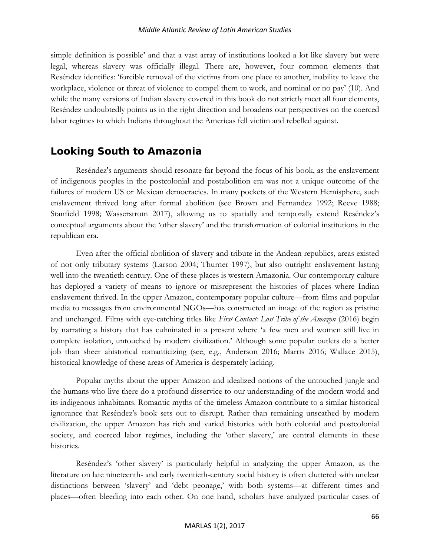simple definition is possible' and that a vast array of institutions looked a lot like slavery but were legal, whereas slavery was officially illegal. There are, however, four common elements that Reséndez identifies: 'forcible removal of the victims from one place to another, inability to leave the workplace, violence or threat of violence to compel them to work, and nominal or no pay' (10). And while the many versions of Indian slavery covered in this book do not strictly meet all four elements, Reséndez undoubtedly points us in the right direction and broadens our perspectives on the coerced labor regimes to which Indians throughout the Americas fell victim and rebelled against.

### **Looking South to Amazonia**

Reséndez's arguments should resonate far beyond the focus of his book, as the enslavement of indigenous peoples in the postcolonial and postabolition era was not a unique outcome of the failures of modern US or Mexican democracies. In many pockets of the Western Hemisphere, such enslavement thrived long after formal abolition (see Brown and Fernandez 1992; Reeve 1988; Stanfield 1998; Wasserstrom 2017), allowing us to spatially and temporally extend Reséndez's conceptual arguments about the 'other slavery' and the transformation of colonial institutions in the republican era.

Even after the official abolition of slavery and tribute in the Andean republics, areas existed of not only tributary systems (Larson 2004; Thurner 1997), but also outright enslavement lasting well into the twentieth century. One of these places is western Amazonia. Our contemporary culture has deployed a variety of means to ignore or misrepresent the histories of places where Indian enslavement thrived. In the upper Amazon, contemporary popular culture—from films and popular media to messages from environmental NGOs—has constructed an image of the region as pristine and unchanged. Films with eye-catching titles like *First Contact: Lost Tribe of the Amazon* (2016) begin by narrating a history that has culminated in a present where 'a few men and women still live in complete isolation, untouched by modern civilization.' Although some popular outlets do a better job than sheer ahistorical romanticizing (see, e.g., Anderson 2016; Marris 2016; Wallace 2015), historical knowledge of these areas of America is desperately lacking.

Popular myths about the upper Amazon and idealized notions of the untouched jungle and the humans who live there do a profound disservice to our understanding of the modern world and its indigenous inhabitants. Romantic myths of the timeless Amazon contribute to a similar historical ignorance that Reséndez's book sets out to disrupt. Rather than remaining unscathed by modern civilization, the upper Amazon has rich and varied histories with both colonial and postcolonial society, and coerced labor regimes, including the 'other slavery,' are central elements in these histories.

Reséndez's 'other slavery' is particularly helpful in analyzing the upper Amazon, as the literature on late nineteenth- and early twentieth-century social history is often cluttered with unclear distinctions between 'slavery' and 'debt peonage,' with both systems—at different times and places—often bleeding into each other. On one hand, scholars have analyzed particular cases of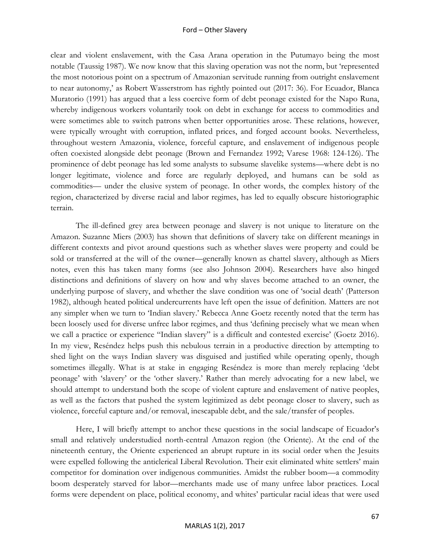clear and violent enslavement, with the Casa Arana operation in the Putumayo being the most notable (Taussig 1987). We now know that this slaving operation was not the norm, but 'represented the most notorious point on a spectrum of Amazonian servitude running from outright enslavement to near autonomy,' as Robert Wasserstrom has rightly pointed out (2017: 36). For Ecuador, Blanca Muratorio (1991) has argued that a less coercive form of debt peonage existed for the Napo Runa, whereby indigenous workers voluntarily took on debt in exchange for access to commodities and were sometimes able to switch patrons when better opportunities arose. These relations, however, were typically wrought with corruption, inflated prices, and forged account books. Nevertheless, throughout western Amazonia, violence, forceful capture, and enslavement of indigenous people often coexisted alongside debt peonage (Brown and Fernandez 1992; Varese 1968: 124-126). The prominence of debt peonage has led some analysts to subsume slavelike systems—where debt is no longer legitimate, violence and force are regularly deployed, and humans can be sold as commodities— under the elusive system of peonage. In other words, the complex history of the region, characterized by diverse racial and labor regimes, has led to equally obscure historiographic terrain.

The ill-defined grey area between peonage and slavery is not unique to literature on the Amazon. Suzanne Miers (2003) has shown that definitions of slavery take on different meanings in different contexts and pivot around questions such as whether slaves were property and could be sold or transferred at the will of the owner—generally known as chattel slavery, although as Miers notes, even this has taken many forms (see also Johnson 2004). Researchers have also hinged distinctions and definitions of slavery on how and why slaves become attached to an owner, the underlying purpose of slavery, and whether the slave condition was one of 'social death' (Patterson 1982), although heated political undercurrents have left open the issue of definition. Matters are not any simpler when we turn to 'Indian slavery.' Rebecca Anne Goetz recently noted that the term has been loosely used for diverse unfree labor regimes, and thus 'defining precisely what we mean when we call a practice or experience "Indian slavery" is a difficult and contested exercise' (Goetz 2016). In my view, Reséndez helps push this nebulous terrain in a productive direction by attempting to shed light on the ways Indian slavery was disguised and justified while operating openly, though sometimes illegally. What is at stake in engaging Reséndez is more than merely replacing 'debt peonage' with 'slavery' or the 'other slavery.' Rather than merely advocating for a new label, we should attempt to understand both the scope of violent capture and enslavement of native peoples, as well as the factors that pushed the system legitimized as debt peonage closer to slavery, such as violence, forceful capture and/or removal, inescapable debt, and the sale/transfer of peoples.

Here, I will briefly attempt to anchor these questions in the social landscape of Ecuador's small and relatively understudied north-central Amazon region (the Oriente). At the end of the nineteenth century, the Oriente experienced an abrupt rupture in its social order when the Jesuits were expelled following the anticlerical Liberal Revolution. Their exit eliminated white settlers' main competitor for domination over indigenous communities. Amidst the rubber boom—a commodity boom desperately starved for labor—merchants made use of many unfree labor practices. Local forms were dependent on place, political economy, and whites' particular racial ideas that were used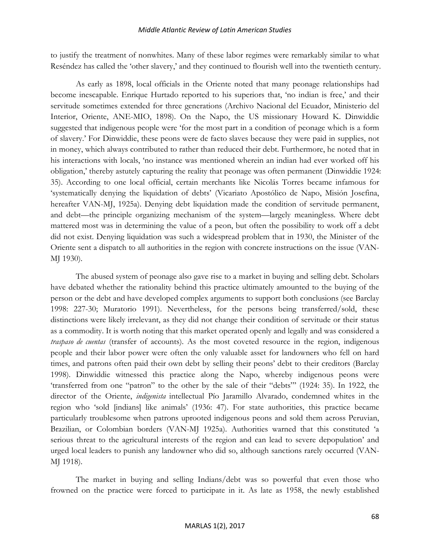to justify the treatment of nonwhites. Many of these labor regimes were remarkably similar to what Reséndez has called the 'other slavery,' and they continued to flourish well into the twentieth century.

As early as 1898, local officials in the Oriente noted that many peonage relationships had become inescapable. Enrique Hurtado reported to his superiors that, 'no indian is free,' and their servitude sometimes extended for three generations (Archivo Nacional del Ecuador, Ministerio del Interior, Oriente, ANE-MIO, 1898). On the Napo, the US missionary Howard K. Dinwiddie suggested that indigenous people were 'for the most part in a condition of peonage which is a form of slavery.' For Dinwiddie, these peons were de facto slaves because they were paid in supplies, not in money, which always contributed to rather than reduced their debt. Furthermore, he noted that in his interactions with locals, 'no instance was mentioned wherein an indian had ever worked off his obligation,' thereby astutely capturing the reality that peonage was often permanent (Dinwiddie 1924: 35). According to one local official, certain merchants like Nicolás Torres became infamous for 'systematically denying the liquidation of debts' (Vicariato Apostólico de Napo, Misión Josefina, hereafter VAN-MJ, 1925a). Denying debt liquidation made the condition of servitude permanent, and debt—the principle organizing mechanism of the system—largely meaningless. Where debt mattered most was in determining the value of a peon, but often the possibility to work off a debt did not exist. Denying liquidation was such a widespread problem that in 1930, the Minister of the Oriente sent a dispatch to all authorities in the region with concrete instructions on the issue (VAN-MJ 1930).

The abused system of peonage also gave rise to a market in buying and selling debt. Scholars have debated whether the rationality behind this practice ultimately amounted to the buying of the person or the debt and have developed complex arguments to support both conclusions (see Barclay 1998: 227-30; Muratorio 1991). Nevertheless, for the persons being transferred/sold, these distinctions were likely irrelevant, as they did not change their condition of servitude or their status as a commodity. It is worth noting that this market operated openly and legally and was considered a *traspaso de cuentas* (transfer of accounts). As the most coveted resource in the region, indigenous people and their labor power were often the only valuable asset for landowners who fell on hard times, and patrons often paid their own debt by selling their peons' debt to their creditors (Barclay 1998). Dinwiddie witnessed this practice along the Napo, whereby indigenous peons were 'transferred from one "patron" to the other by the sale of their "debts"' (1924: 35). In 1922, the director of the Oriente, *indigenista* intellectual Pío Jaramillo Alvarado, condemned whites in the region who 'sold [indians] like animals' (1936: 47). For state authorities, this practice became particularly troublesome when patrons uprooted indigenous peons and sold them across Peruvian, Brazilian, or Colombian borders (VAN-MJ 1925a). Authorities warned that this constituted 'a serious threat to the agricultural interests of the region and can lead to severe depopulation' and urged local leaders to punish any landowner who did so, although sanctions rarely occurred (VAN-MJ 1918).

The market in buying and selling Indians/debt was so powerful that even those who frowned on the practice were forced to participate in it. As late as 1958, the newly established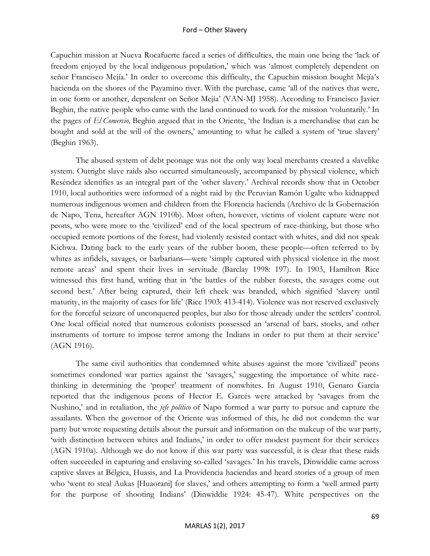Capuchin mission at Nueva Rocafuerte faced a series of difficulties, the main one being the 'lack of freedom enjoyed by the local indigenous population,' which was 'almost completely dependent on señor Francisco Mejía.' In order to overcome this difficulty, the Capuchin mission bought Mejía's hacienda on the shores of the Payamino river. With the purchase, came 'all of the natives that were, in one form or another, dependent on Señor Mejía' (VAN-MJ 1958). According to Francisco Javier Beghin, the native people who came with the land continued to work for the mission 'voluntarily.' In the pages of *El Comercio,* Beghin argued that in the Oriente, 'the Indian is a merchandise that can be bought and sold at the will of the owners,' amounting to what he called a system of 'true slavery' (Beghin 1963).

The abused system of debt peonage was not the only way local merchants created a slavelike system. Outright slave raids also occurred simultaneously, accompanied by physical violence, which Reséndez identifies as an integral part of the 'other slavery.' Archival records show that in October 1910, local authorities were informed of a night raid by the Peruvian Ramón Ugalte who kidnapped numerous indigenous women and children from the Florencia hacienda (Archivo de la Gobernación de Napo, Tena, hereafter AGN 1910b). Most often, however, victims of violent capture were not peons, who were more to the 'civilized' end of the local spectrum of race-thinking, but those who occupied remote portions of the forest, had violently resisted contact with whites, and did not speak Kichwa. Dating back to the early years of the rubber boom, these people—often referred to by whites as infidels, savages, or barbarians*—*were 'simply captured with physical violence in the most remote areas' and spent their lives in servitude (Barclay 1998: 197). In 1903, Hamilton Rice witnessed this first hand, writing that in 'the battles of the rubber forests, the savages come out second best.' After being captured, their left cheek was branded, which signified 'slavery until maturity, in the majority of cases for life' (Rice 1903: 413-414). Violence was not reserved exclusively for the forceful seizure of unconquered peoples, but also for those already under the settlers' control. One local official noted that numerous colonists possessed an 'arsenal of bars*,* stocks, and other instruments of torture to impose terror among the Indians in order to put them at their service' (AGN 1916).

The same civil authorities that condemned white abuses against the more 'civilized' peons sometimes condoned war parties against the 'savages,' suggesting the importance of white racethinking in determining the 'proper' treatment of nonwhites. In August 1910, Genaro Garcia reported that the indigenous peons of Hector E. Garcés were attacked by 'savages from the Nushino,' and in retaliation, the *jefe político* of Napo formed a war party to pursue and capture the assailants. When the governor of the Oriente was informed of this, he did not condemn the war party but wrote requesting details about the pursuit and information on the makeup of the war party, 'with distinction between whites and Indians,' in order to offer modest payment for their services (AGN 1910a). Although we do not know if this war party was successful, it is clear that these raids often succeeded in capturing and enslaving so-called 'savages.' In his travels, Dinwiddie came across captive slaves at Bélgica, Huasis, and La Providencia haciendas and heard stories of a group of men who 'went to steal Aukas [Huaorani] for slaves,' and others attempting to form a 'well armed party for the purpose of shooting Indians' (Dinwiddie 1924: 45-47). White perspectives on the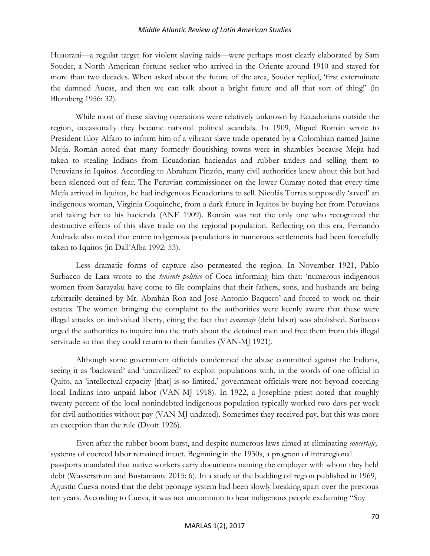Huaorani—a regular target for violent slaving raids—were perhaps most clearly elaborated by Sam Souder, a North American fortune seeker who arrived in the Oriente around 1910 and stayed for more than two decades. When asked about the future of the area, Souder replied, 'first exterminate the damned Aucas, and then we can talk about a bright future and all that sort of thing!' (in Blomberg 1956: 32).

While most of these slaving operations were relatively unknown by Ecuadorians outside the region, occasionally they became national political scandals. In 1909, Miguel Román wrote to President Eloy Alfaro to inform him of a vibrant slave trade operated by a Colombian named Jaime Mejía. Román noted that many formerly flourishing towns were in shambles because Mejía had taken to stealing Indians from Ecuadorian haciendas and rubber traders and selling them to Peruvians in Iquitos. According to Abraham Pinzón, many civil authorities knew about this but had been silenced out of fear. The Peruvian commissioner on the lower Curaray noted that every time Mejía arrived in Iquitos, he had indigenous Ecuadorians to sell. Nicolás Torres supposedly 'saved' an indigenous woman, Virginia Coquinche, from a dark future in Iquitos by buying her from Peruvians and taking her to his hacienda (ANE 1909). Román was not the only one who recognized the destructive effects of this slave trade on the regional population. Reflecting on this era, Fernando Andrade also noted that entire indigenous populations in numerous settlements had been forcefully taken to Iquitos (in Dall'Alba 1992: 53).

Less dramatic forms of capture also permeated the region. In November 1921, Pablo Surbacco de Lara wrote to the *teniente político* of Coca informing him that: 'numerous indigenous women from Sarayaku have come to file complains that their fathers, sons, and husbands are being arbitrarily detained by Mr. Abrahán Ron and José Antonio Baquero' and forced to work on their estates. The women bringing the complaint to the authorities were keenly aware that these were illegal attacks on individual liberty, citing the fact that *concertaje* (debt labor) was abolished. Surbacco urged the authorities to inquire into the truth about the detained men and free them from this illegal servitude so that they could return to their families (VAN-MJ 1921).

Although some government officials condemned the abuse committed against the Indians, seeing it as 'backward' and 'uncivilized' to exploit populations with, in the words of one official in Quito, an 'intellectual capacity [that] is so limited,' government officials were not beyond coercing local Indians into unpaid labor (VAN-MJ 1918). In 1922, a Josephine priest noted that roughly twenty percent of the local nonindebted indigenous population typically worked two days per week for civil authorities without pay (VAN-MJ undated). Sometimes they received pay, but this was more an exception than the rule (Dyott 1926).

Even after the rubber boom burst, and despite numerous laws aimed at eliminating *concertaje,*  systems of coerced labor remained intact. Beginning in the 1930s, a program of intraregional passports mandated that native workers carry documents naming the employer with whom they held debt (Wasserstrom and Bustamante 2015: 6). In a study of the budding oil region published in 1969, Agustín Cueva noted that the debt peonage system had been slowly breaking apart over the previous ten years. According to Cueva, it was not uncommon to hear indigenous people exclaiming "Soy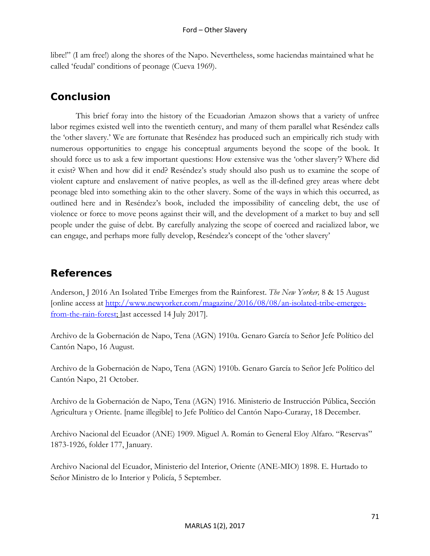libre!" (I am free!) along the shores of the Napo. Nevertheless, some haciendas maintained what he called 'feudal' conditions of peonage (Cueva 1969).

## **Conclusion**

This brief foray into the history of the Ecuadorian Amazon shows that a variety of unfree labor regimes existed well into the twentieth century, and many of them parallel what Reséndez calls the 'other slavery.' We are fortunate that Reséndez has produced such an empirically rich study with numerous opportunities to engage his conceptual arguments beyond the scope of the book. It should force us to ask a few important questions: How extensive was the 'other slavery'? Where did it exist? When and how did it end? Reséndez's study should also push us to examine the scope of violent capture and enslavement of native peoples, as well as the ill-defined grey areas where debt peonage bled into something akin to the other slavery. Some of the ways in which this occurred, as outlined here and in Reséndez's book, included the impossibility of canceling debt, the use of violence or force to move peons against their will, and the development of a market to buy and sell people under the guise of debt. By carefully analyzing the scope of coerced and racialized labor, we can engage, and perhaps more fully develop, Reséndez's concept of the 'other slavery'

### **References**

Anderson, J 2016 An Isolated Tribe Emerges from the Rainforest. *The New Yorker,* 8 & 15 August [online access at [http://www.newyorker.com/magazine/2016/08/08/an-isolated-tribe-emerges](http://www.newyorker.com/magazine/2016/08/08/an-isolated-tribe-emerges-from-the-rain-forest)[from-the-rain-forest;](http://www.newyorker.com/magazine/2016/08/08/an-isolated-tribe-emerges-from-the-rain-forest) last accessed 14 July 2017].

Archivo de la Gobernación de Napo, Tena (AGN) 1910a. Genaro García to Señor Jefe Político del Cantón Napo, 16 August.

Archivo de la Gobernación de Napo, Tena (AGN) 1910b. Genaro García to Señor Jefe Político del Cantón Napo, 21 October.

Archivo de la Gobernación de Napo, Tena (AGN) 1916. Ministerio de Instrucción Pública, Sección Agricultura y Oriente. [name illegible] to Jefe Político del Cantón Napo-Curaray, 18 December.

Archivo Nacional del Ecuador (ANE) 1909. Miguel A. Román to General Eloy Alfaro. "Reservas" 1873-1926, folder 177, January.

Archivo Nacional del Ecuador, Ministerio del Interior, Oriente (ANE-MIO) 1898. E. Hurtado to Señor Ministro de lo Interior y Policía, 5 September.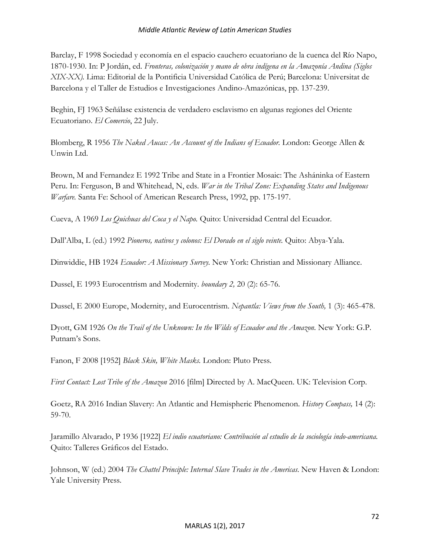Barclay, F 1998 Sociedad y economía en el espacio cauchero ecuatoriano de la cuenca del Río Napo, 1870-1930. In: P Jordán, ed. *Fronteras, colonización y mano de obra indígena en la Amazonía Andina (Siglos XIX-XX).* Lima: Editorial de la Pontificia Universidad Católica de Perú; Barcelona: Universitat de Barcelona y el Taller de Estudios e Investigaciones Andino-Amazónicas, pp. 137-239.

Beghin, FJ 1963 Señálase existencia de verdadero esclavismo en algunas regiones del Oriente Ecuatoriano. *El Comercio*, 22 July.

Blomberg, R 1956 *The Naked Aucas: An Account of the Indians of Ecuador.* London: George Allen & Unwin Ltd.

Brown, M and Fernandez E 1992 Tribe and State in a Frontier Mosaic: The Asháninka of Eastern Peru. In: Ferguson, B and Whitehead, N, eds. *War in the Tribal Zone: Expanding States and Indigenous Warfare.* Santa Fe: School of American Research Press, 1992, pp. 175-197.

Cueva, A 1969 *Los Quichuas del Coca y el Napo.* Quito: Universidad Central del Ecuador.

Dall'Alba, L (ed.) 1992 *Pioneros, nativos y colonos: El Dorado en el siglo veinte.* Quito: Abya-Yala.

Dinwiddie, HB 1924 *Ecuador: A Missionary Survey.* New York: Christian and Missionary Alliance.

Dussel, E 1993 Eurocentrism and Modernity. *boundary 2,* 20 (2): 65-76.

Dussel, E 2000 Europe, Modernity, and Eurocentrism. *Nepantla: Views from the South,* 1 (3): 465-478.

Dyott, GM 1926 On the Trail of the Unknown: In the Wilds of Ecuador and the Amazon. New York: G.P. Putnam's Sons.

Fanon, F 2008 [1952] *Black Skin, White Masks.* London: Pluto Press.

*First Contact: Lost Tribe of the Amazon* 2016 [film] Directed by A. MacQueen. UK: Television Corp.

Goetz, RA 2016 Indian Slavery: An Atlantic and Hemispheric Phenomenon. *History Compass,* 14 (2): 59-70.

Jaramillo Alvarado, P 1936 [1922] *El indio ecuatoriano: Contribución al estudio de la sociología indo-americana.*  Quito: Talleres Gráficos del Estado.

Johnson, W (ed.) 2004 *The Chattel Principle: Internal Slave Trades in the Americas*. New Haven & London: Yale University Press.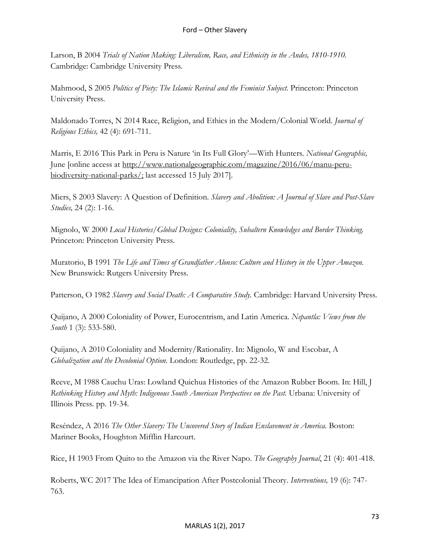Larson, B 2004 *Trials of Nation Making: Liberalism, Race, and Ethnicity in the Andes, 1810-1910.*  Cambridge: Cambridge University Press.

Mahmood, S 2005 *Politics of Piety: The Islamic Revival and the Feminist Subject.* Princeton: Princeton University Press.

Maldonado Torres, N 2014 Race, Religion, and Ethics in the Modern/Colonial World. *Journal of Religious Ethics,* 42 (4): 691-711.

Marris, E 2016 This Park in Peru is Nature 'in Its Full Glory'—With Hunters. *National Geographic,*  June [online access at http://www.nationalgeographic.com/magazine/2016/06/manu-perubiodiversity-national-parks/; last accessed 15 July 2017].

Miers, S 2003 Slavery: A Question of Definition. *Slavery and Abolition: A Journal of Slave and Post-Slave Studies,* 24 (2): 1-16.

Mignolo, W 2000 *Local Histories/Global Designs: Coloniality, Subaltern Knowledges and Border Thinking.*  Princeton: Princeton University Press.

Muratorio, B 1991 *The Life and Times of Grandfather Alonso: Culture and History in the Upper Amazon.*  New Brunswick: Rutgers University Press.

Patterson, O 1982 *Slavery and Social Death: A Comparative Study.* Cambridge: Harvard University Press.

Quijano, A 2000 Coloniality of Power, Eurocentrism, and Latin America. *Nepantla: Views from the South* 1 (3): 533-580.

Quijano, A 2010 Coloniality and Modernity/Rationality. In: Mignolo, W and Escobar, A *Globalization and the Decolonial Option.* London: Routledge, pp. 22-32.

Reeve, M 1988 Cauchu Uras: Lowland Quichua Histories of the Amazon Rubber Boom. In: Hill, J Rethinking History and Myth: Indigenous South American Perspectives on the Past. Urbana: University of Illinois Press. pp. 19-34.

Reséndez, A 2016 *The Other Slavery: The Uncovered Story of Indian Enslavement in America*. Boston: Mariner Books, Houghton Mifflin Harcourt.

Rice, H 1903 From Quito to the Amazon via the River Napo. *The Geography Journal*, 21 (4): 401-418.

Roberts, WC 2017 The Idea of Emancipation After Postcolonial Theory. *Interventions,* 19 (6): 747- 763.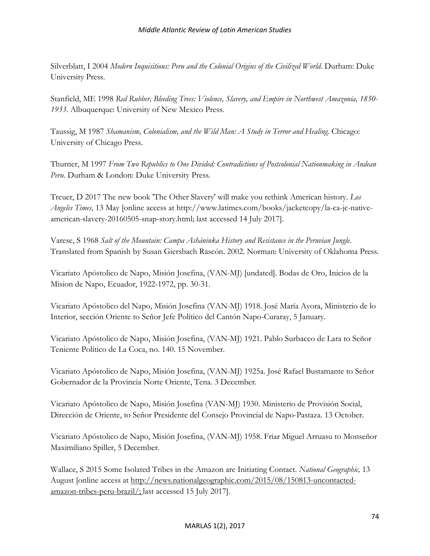Silverblatt, I 2004 *Modern Inquisitions: Peru and the Colonial Origins of the Civilized World.* Durham: Duke University Press.

Stanfield, ME 1998 *Red Rubber, Bleeding Trees: Violence, Slavery, and Empire in Northwest Amazonia, 1850- 1933.* Albuquerque: University of New Mexico Press.

Taussig, M 1987 *Shamanism, Colonialism, and the Wild Man: A Study in Terror and Healing.* Chicago: University of Chicago Press.

Thurner, M 1997 *From Two Republics to One Divided: Contradictions of Postcolonial Nationmaking in Andean Peru.* Durham & London: Duke University Press.

Treuer, D 2017 The new book 'The Other Slavery' will make you rethink American history. *Los Angeles Times,* 13 May [online access at http://www.latimes.com/books/jacketcopy/la-ca-jc-nativeamerican-slavery-20160505-snap-story.html; last accessed 14 July 2017].

Varese, S 1968 *Salt of the Mountain: Campa Asháninka History and Resistance in the Peruvian Jungle.*  Translated from Spanish by Susan Giersbach Rascón. 2002. Norman: University of Oklahoma Press.

Vicariato Apóstolico de Napo, Misión Josefina, (VAN-MJ) [undated]. Bodas de Oro, Inicios de la Mision de Napo, Ecuador, 1922-1972, pp. 30-31.

Vicariato Apóstolico del Napo, Misión Josefina (VAN-MJ) 1918. José María Ayora, Ministerio de lo Interior, sección Oriente to Señor Jefe Político del Cantón Napo-Curaray, 5 January.

Vicariato Apóstolico de Napo, Misión Josefina, (VAN-MJ) 1921. Pablo Surbacco de Lara to Señor Teniente Político de La Coca, no. 140. 15 November.

Vicariato Apóstolico de Napo, Misión Josefina, (VAN-MJ) 1925a. José Rafael Bustamante to Señor Gobernador de la Provincia Norte Oriente, Tena. 3 December.

Vicariato Apóstolico de Napo, Misión Josefina (VAN-MJ) 1930. Ministerio de Provisión Social, Dirección de Oriente, to Señor Presidente del Consejo Provincial de Napo-Pastaza. 13 October.

Vicariato Apóstolico de Napo, Misión Josefina, (VAN-MJ) 1958. Friar Miguel Arruasu to Monseñor Maximiliano Spiller, 5 December.

Wallace, S 2015 Some Isolated Tribes in the Amazon are Initiating Contact. *National Geographic,* 13 August [online access at http://news.nationalgeographic.com/2015/08/150813-uncontactedamazon-tribes-peru-brazil/; last accessed 15 July 2017].